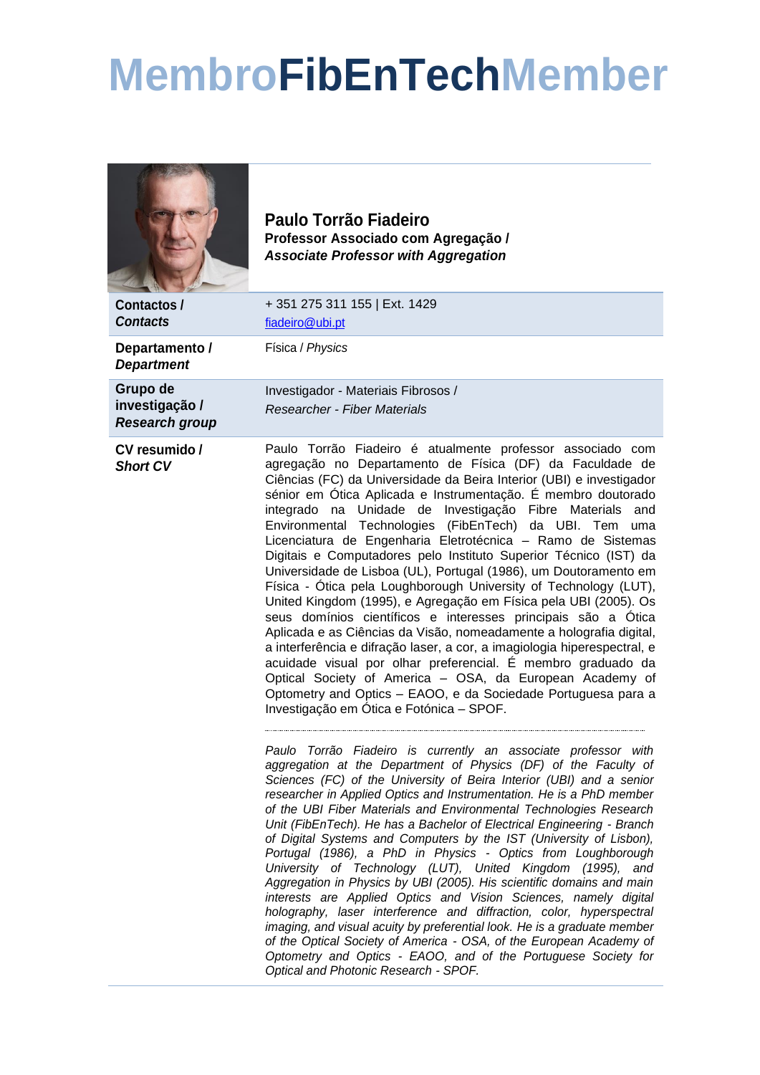## **MembroFibEnTechMember**



**Paulo Torrão Fiadeiro Professor Associado com Agregação /** *Associate Professor with Aggregation*

**Contactos /** *Contacts* + 351 275 311 155 | Ext. 1429 [fiadeiro@ubi.pt](mailto:fiadeiro@ubi.pt) **Departamento /**  *Department* Física / *Physics* **Grupo de investigação /**  *Research group* Investigador - Materiais Fibrosos / *Researcher - Fiber Materials* **CV resumido /** *Short CV* Paulo Torrão Fiadeiro é atualmente professor associado com agregação no Departamento de Física (DF) da Faculdade de Ciências (FC) da Universidade da Beira Interior (UBI) e investigador sénior em Ótica Aplicada e Instrumentação. É membro doutorado integrado na Unidade de Investigação Fibre Materials and Environmental Technologies (FibEnTech) da UBI. Tem uma Licenciatura de Engenharia Eletrotécnica – Ramo de Sistemas Digitais e Computadores pelo Instituto Superior Técnico (IST) da Universidade de Lisboa (UL), Portugal (1986), um Doutoramento em Física - Ótica pela Loughborough University of Technology (LUT), United Kingdom (1995), e Agregação em Física pela UBI (2005). Os seus domínios científicos e interesses principais são a Ótica Aplicada e as Ciências da Visão, nomeadamente a holografia digital, a interferência e difração laser, a cor, a imagiologia hiperespectral, e acuidade visual por olhar preferencial. É membro graduado da Optical Society of America – OSA, da European Academy of Optometry and Optics – EAOO, e da Sociedade Portuguesa para a Investigação em Ótica e Fotónica – SPOF. *Paulo Torrão Fiadeiro is currently an associate professor with aggregation at the Department of Physics (DF) of the Faculty of Sciences (FC) of the University of Beira Interior (UBI) and a senior researcher in Applied Optics and Instrumentation. He is a PhD member of the UBI Fiber Materials and Environmental Technologies Research Unit (FibEnTech). He has a Bachelor of Electrical Engineering - Branch of Digital Systems and Computers by the IST (University of Lisbon), Portugal (1986), a PhD in Physics - Optics from Loughborough University of Technology (LUT), United Kingdom (1995), and Aggregation in Physics by UBI (2005). His scientific domains and main interests are Applied Optics and Vision Sciences, namely digital holography, laser interference and diffraction, color, hyperspectral imaging, and visual acuity by preferential look. He is a graduate member of the Optical Society of America - OSA, of the European Academy of Optometry and Optics - EAOO, and of the Portuguese Society for Optical and Photonic Research - SPOF.*